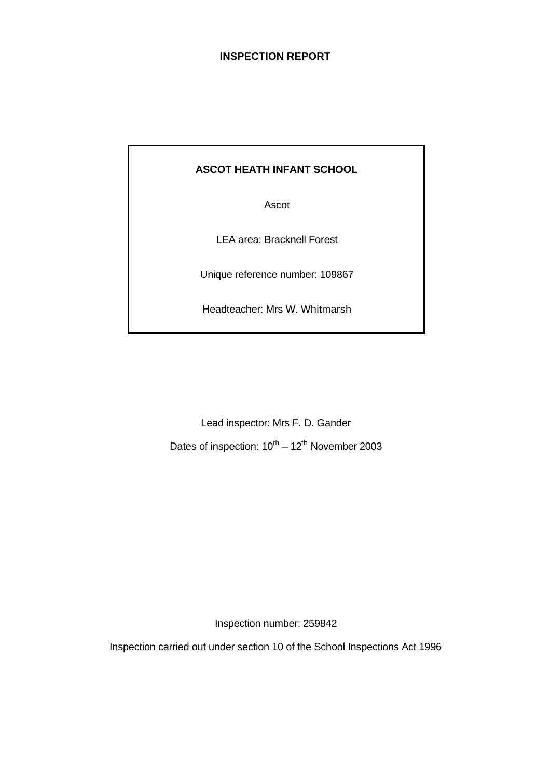## **INSPECTION REPORT**

## **ASCOT HEATH INFANT SCHOOL**

Ascot

LEA area: Bracknell Forest

Unique reference number: 109867

Headteacher: Mrs W. Whitmarsh

Lead inspector: Mrs F. D. Gander Dates of inspection:  $10^{th} - 12^{th}$  November 2003

Inspection number: 259842

Inspection carried out under section 10 of the School Inspections Act 1996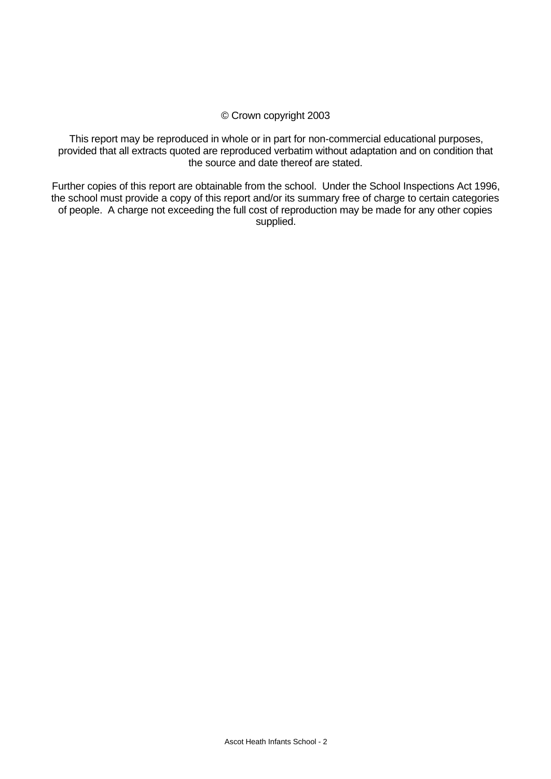#### © Crown copyright 2003

This report may be reproduced in whole or in part for non-commercial educational purposes, provided that all extracts quoted are reproduced verbatim without adaptation and on condition that the source and date thereof are stated.

Further copies of this report are obtainable from the school. Under the School Inspections Act 1996, the school must provide a copy of this report and/or its summary free of charge to certain categories of people. A charge not exceeding the full cost of reproduction may be made for any other copies supplied.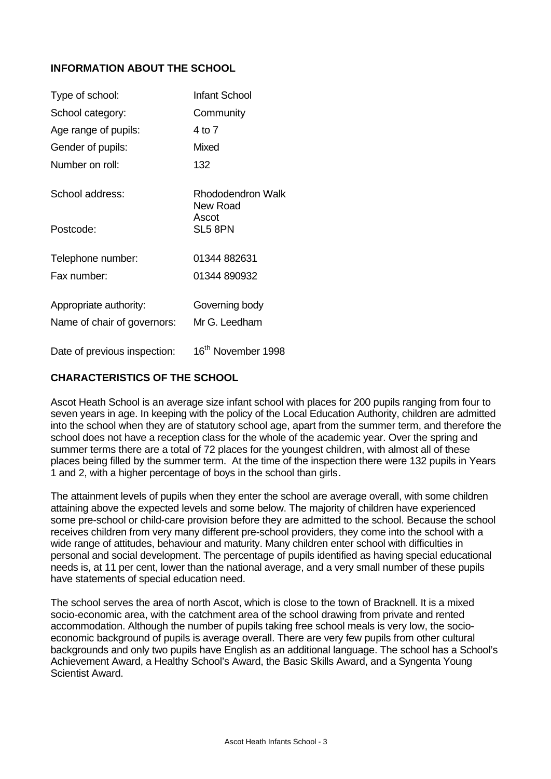## **INFORMATION ABOUT THE SCHOOL**

| Type of school:              | Infant School                  |
|------------------------------|--------------------------------|
| School category:             | Community                      |
| Age range of pupils:         | 4 to 7                         |
| Gender of pupils:            | Mixed                          |
| Number on roll:              | 132                            |
| School address:              | Rhododendron Walk<br>New Road  |
| Postcode:                    | Ascot<br>SL5 8PN               |
| Telephone number:            | 01344 882631                   |
| Fax number:                  | 01344 890932                   |
| Appropriate authority:       | Governing body                 |
| Name of chair of governors:  | Mr G. Leedham                  |
| Date of previous inspection: | 16 <sup>th</sup> November 1998 |

#### **CHARACTERISTICS OF THE SCHOOL**

Ascot Heath School is an average size infant school with places for 200 pupils ranging from four to seven years in age. In keeping with the policy of the Local Education Authority, children are admitted into the school when they are of statutory school age, apart from the summer term, and therefore the school does not have a reception class for the whole of the academic year. Over the spring and summer terms there are a total of 72 places for the youngest children, with almost all of these places being filled by the summer term. At the time of the inspection there were 132 pupils in Years 1 and 2, with a higher percentage of boys in the school than girls.

The attainment levels of pupils when they enter the school are average overall, with some children attaining above the expected levels and some below. The majority of children have experienced some pre-school or child-care provision before they are admitted to the school. Because the school receives children from very many different pre-school providers, they come into the school with a wide range of attitudes, behaviour and maturity. Many children enter school with difficulties in personal and social development. The percentage of pupils identified as having special educational needs is, at 11 per cent, lower than the national average, and a very small number of these pupils have statements of special education need.

The school serves the area of north Ascot, which is close to the town of Bracknell. It is a mixed socio-economic area, with the catchment area of the school drawing from private and rented accommodation. Although the number of pupils taking free school meals is very low, the socioeconomic background of pupils is average overall. There are very few pupils from other cultural backgrounds and only two pupils have English as an additional language. The school has a School's Achievement Award, a Healthy School's Award, the Basic Skills Award, and a Syngenta Young Scientist Award.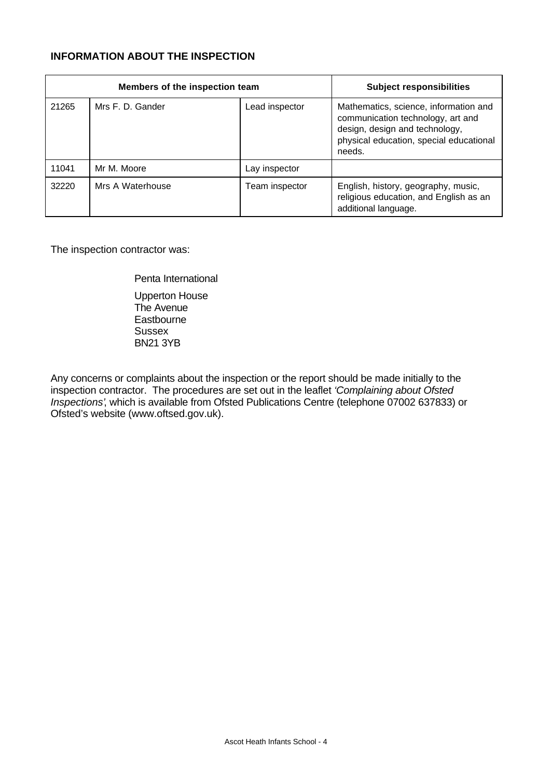## **INFORMATION ABOUT THE INSPECTION**

|       | Members of the inspection team | <b>Subject responsibilities</b> |                                                                                                                                                                   |
|-------|--------------------------------|---------------------------------|-------------------------------------------------------------------------------------------------------------------------------------------------------------------|
| 21265 | Mrs F. D. Gander               | Lead inspector                  | Mathematics, science, information and<br>communication technology, art and<br>design, design and technology,<br>physical education, special educational<br>needs. |
| 11041 | Mr M. Moore                    | Lay inspector                   |                                                                                                                                                                   |
| 32220 | Mrs A Waterhouse               | Team inspector                  | English, history, geography, music,<br>religious education, and English as an<br>additional language.                                                             |

The inspection contractor was:

Penta International Upperton House The Avenue **Eastbourne Sussex** BN21 3YB

Any concerns or complaints about the inspection or the report should be made initially to the inspection contractor. The procedures are set out in the leaflet *'Complaining about Ofsted Inspections'*, which is available from Ofsted Publications Centre (telephone 07002 637833) or Ofsted's website (www.oftsed.gov.uk).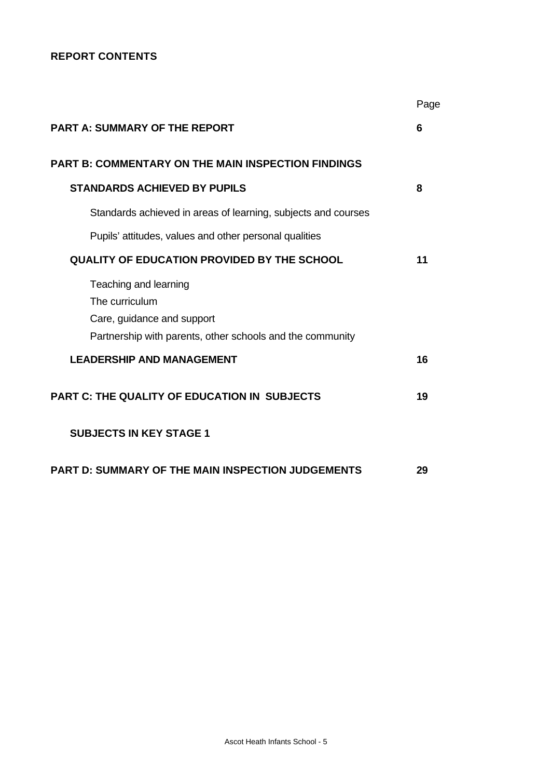## **REPORT CONTENTS**

|                                                                                         | Page |
|-----------------------------------------------------------------------------------------|------|
| <b>PART A: SUMMARY OF THE REPORT</b>                                                    | 6    |
| <b>PART B: COMMENTARY ON THE MAIN INSPECTION FINDINGS</b>                               |      |
| <b>STANDARDS ACHIEVED BY PUPILS</b>                                                     | 8    |
| Standards achieved in areas of learning, subjects and courses                           |      |
| Pupils' attitudes, values and other personal qualities                                  |      |
| <b>QUALITY OF EDUCATION PROVIDED BY THE SCHOOL</b>                                      | 11   |
| Teaching and learning<br>The curriculum                                                 |      |
| Care, guidance and support<br>Partnership with parents, other schools and the community |      |
| <b>LEADERSHIP AND MANAGEMENT</b>                                                        | 16   |
| <b>PART C: THE QUALITY OF EDUCATION IN SUBJECTS</b>                                     | 19   |
| <b>SUBJECTS IN KEY STAGE 1</b>                                                          |      |
| <b>PART D: SUMMARY OF THE MAIN INSPECTION JUDGEMENTS</b>                                | 29   |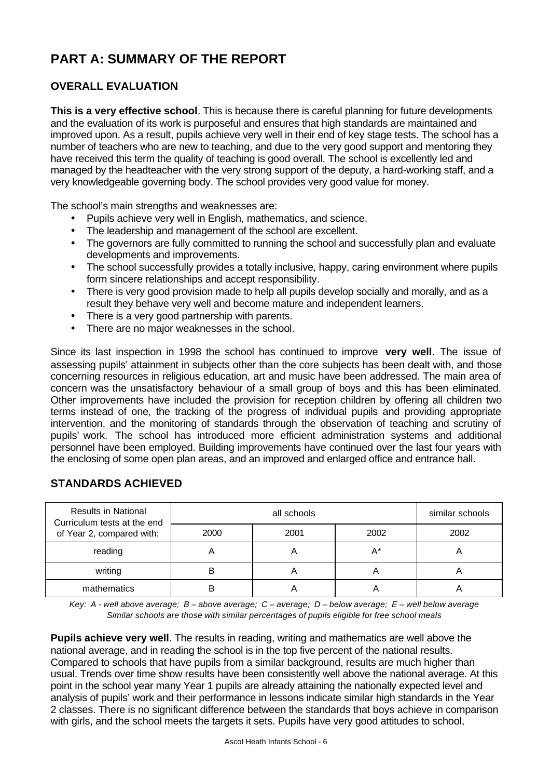# **PART A: SUMMARY OF THE REPORT**

## **OVERALL EVALUATION**

**This is a very effective school**. This is because there is careful planning for future developments and the evaluation of its work is purposeful and ensures that high standards are maintained and improved upon. As a result, pupils achieve very well in their end of key stage tests. The school has a number of teachers who are new to teaching, and due to the very good support and mentoring they have received this term the quality of teaching is good overall. The school is excellently led and managed by the headteacher with the very strong support of the deputy, a hard-working staff, and a very knowledgeable governing body. The school provides very good value for money.

The school's main strengths and weaknesses are:

- Pupils achieve very well in English, mathematics, and science.
- The leadership and management of the school are excellent.
- The governors are fully committed to running the school and successfully plan and evaluate developments and improvements.
- The school successfully provides a totally inclusive, happy, caring environment where pupils form sincere relationships and accept responsibility.
- There is very good provision made to help all pupils develop socially and morally, and as a result they behave very well and become mature and independent learners.
- There is a very good partnership with parents.
- There are no major weaknesses in the school.

Since its last inspection in 1998 the school has continued to improve **very well**. The issue of assessing pupils' attainment in subjects other than the core subjects has been dealt with, and those concerning resources in religious education, art and music have been addressed. The main area of concern was the unsatisfactory behaviour of a small group of boys and this has been eliminated. Other improvements have included the provision for reception children by offering all children two terms instead of one, the tracking of the progress of individual pupils and providing appropriate intervention, and the monitoring of standards through the observation of teaching and scrutiny of pupils' work. The school has introduced more efficient administration systems and additional personnel have been employed. Building improvements have continued over the last four years with the enclosing of some open plan areas, and an improved and enlarged office and entrance hall.

| <b>Results in National</b><br>Curriculum tests at the end |      | similar schools |      |      |
|-----------------------------------------------------------|------|-----------------|------|------|
| of Year 2, compared with:                                 | 2000 | 2001            | 2002 | 2002 |
| reading                                                   |      |                 | A*   | n    |
| writing                                                   | B    |                 | A    | n    |
| mathematics                                               | R    |                 |      |      |

## **STANDARDS ACHIEVED**

*Key: A - well above average; B – above average; C – average; D – below average; E – well below average Similar schools are those with similar percentages of pupils eligible for free school meals*

**Pupils achieve very well**. The results in reading, writing and mathematics are well above the national average, and in reading the school is in the top five percent of the national results. Compared to schools that have pupils from a similar background, results are much higher than usual. Trends over time show results have been consistently well above the national average. At this point in the school year many Year 1 pupils are already attaining the nationally expected level and analysis of pupils' work and their performance in lessons indicate similar high standards in the Year 2 classes. There is no significant difference between the standards that boys achieve in comparison with girls, and the school meets the targets it sets. Pupils have very good attitudes to school,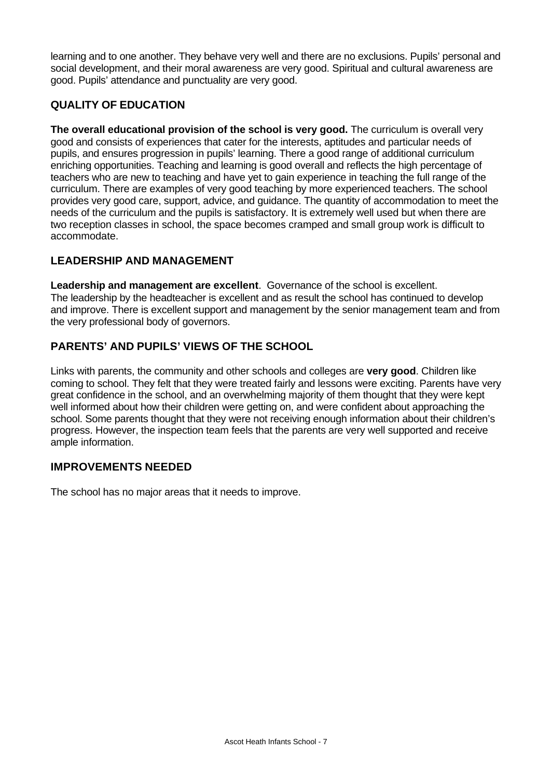learning and to one another. They behave very well and there are no exclusions. Pupils' personal and social development, and their moral awareness are very good. Spiritual and cultural awareness are good. Pupils' attendance and punctuality are very good.

## **QUALITY OF EDUCATION**

**The overall educational provision of the school is very good.** The curriculum is overall very good and consists of experiences that cater for the interests, aptitudes and particular needs of pupils, and ensures progression in pupils' learning. There a good range of additional curriculum enriching opportunities. Teaching and learning is good overall and reflects the high percentage of teachers who are new to teaching and have yet to gain experience in teaching the full range of the curriculum. There are examples of very good teaching by more experienced teachers. The school provides very good care, support, advice, and guidance. The quantity of accommodation to meet the needs of the curriculum and the pupils is satisfactory. It is extremely well used but when there are two reception classes in school, the space becomes cramped and small group work is difficult to accommodate.

## **LEADERSHIP AND MANAGEMENT**

**Leadership and management are excellent**. Governance of the school is excellent. The leadership by the headteacher is excellent and as result the school has continued to develop and improve. There is excellent support and management by the senior management team and from the very professional body of governors.

## **PARENTS' AND PUPILS' VIEWS OF THE SCHOOL**

Links with parents, the community and other schools and colleges are **very good**. Children like coming to school. They felt that they were treated fairly and lessons were exciting. Parents have very great confidence in the school, and an overwhelming majority of them thought that they were kept well informed about how their children were getting on, and were confident about approaching the school. Some parents thought that they were not receiving enough information about their children's progress. However, the inspection team feels that the parents are very well supported and receive ample information.

## **IMPROVEMENTS NEEDED**

The school has no major areas that it needs to improve.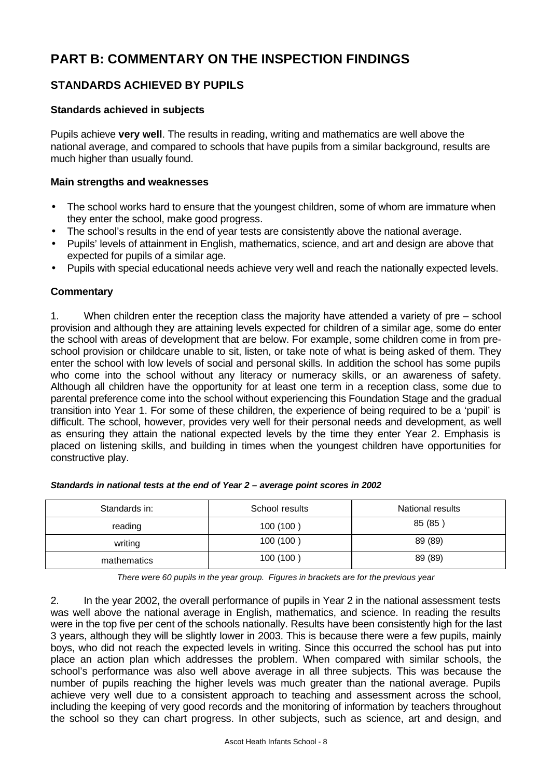# **PART B: COMMENTARY ON THE INSPECTION FINDINGS**

## **STANDARDS ACHIEVED BY PUPILS**

## **Standards achieved in subjects**

Pupils achieve **very well**. The results in reading, writing and mathematics are well above the national average, and compared to schools that have pupils from a similar background, results are much higher than usually found.

#### **Main strengths and weaknesses**

- The school works hard to ensure that the youngest children, some of whom are immature when they enter the school, make good progress.
- The school's results in the end of year tests are consistently above the national average.
- Pupils' levels of attainment in English, mathematics, science, and art and design are above that expected for pupils of a similar age.
- Pupils with special educational needs achieve very well and reach the nationally expected levels.

#### **Commentary**

1. When children enter the reception class the majority have attended a variety of pre – school provision and although they are attaining levels expected for children of a similar age, some do enter the school with areas of development that are below. For example, some children come in from preschool provision or childcare unable to sit, listen, or take note of what is being asked of them. They enter the school with low levels of social and personal skills. In addition the school has some pupils who come into the school without any literacy or numeracy skills, or an awareness of safety. Although all children have the opportunity for at least one term in a reception class, some due to parental preference come into the school without experiencing this Foundation Stage and the gradual transition into Year 1. For some of these children, the experience of being required to be a 'pupil' is difficult. The school, however, provides very well for their personal needs and development, as well as ensuring they attain the national expected levels by the time they enter Year 2. Emphasis is placed on listening skills, and building in times when the youngest children have opportunities for constructive play.

| Standards in: | School results | National results |
|---------------|----------------|------------------|
| reading       | 100 (100)      | 85 (85)          |
| writing       | 100 (100)      | 89 (89)          |
| mathematics   | 100 (100)      | 89 (89)          |

#### *Standards in national tests at the end of Year 2 – average point scores in 2002*

*There were 60 pupils in the year group. Figures in brackets are for the previous year*

2. In the year 2002, the overall performance of pupils in Year 2 in the national assessment tests was well above the national average in English, mathematics, and science. In reading the results were in the top five per cent of the schools nationally. Results have been consistently high for the last 3 years, although they will be slightly lower in 2003. This is because there were a few pupils, mainly boys, who did not reach the expected levels in writing. Since this occurred the school has put into place an action plan which addresses the problem. When compared with similar schools, the school's performance was also well above average in all three subjects. This was because the number of pupils reaching the higher levels was much greater than the national average. Pupils achieve very well due to a consistent approach to teaching and assessment across the school, including the keeping of very good records and the monitoring of information by teachers throughout the school so they can chart progress. In other subjects, such as science, art and design, and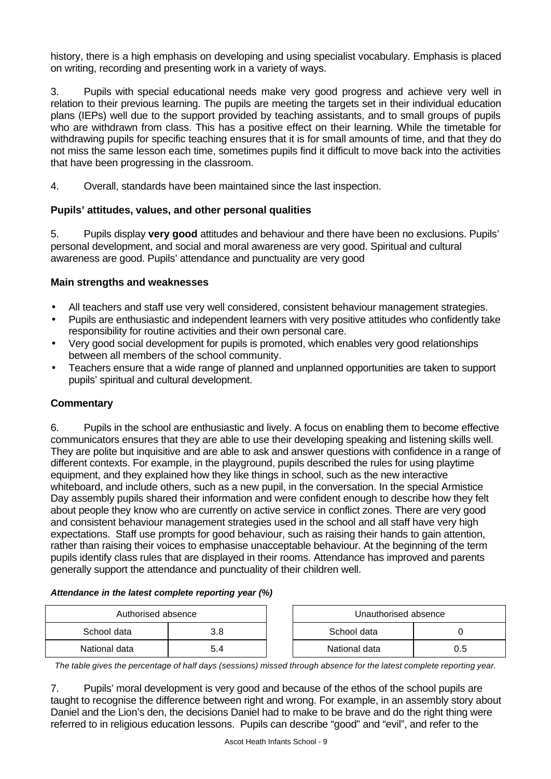history, there is a high emphasis on developing and using specialist vocabulary. Emphasis is placed on writing, recording and presenting work in a variety of ways.

3. Pupils with special educational needs make very good progress and achieve very well in relation to their previous learning. The pupils are meeting the targets set in their individual education plans (IEPs) well due to the support provided by teaching assistants, and to small groups of pupils who are withdrawn from class. This has a positive effect on their learning. While the timetable for withdrawing pupils for specific teaching ensures that it is for small amounts of time, and that they do not miss the same lesson each time, sometimes pupils find it difficult to move back into the activities that have been progressing in the classroom.

4. Overall, standards have been maintained since the last inspection.

## **Pupils' attitudes, values, and other personal qualities**

5. Pupils display **very good** attitudes and behaviour and there have been no exclusions. Pupils' personal development, and social and moral awareness are very good. Spiritual and cultural awareness are good. Pupils' attendance and punctuality are very good

## **Main strengths and weaknesses**

- All teachers and staff use very well considered, consistent behaviour management strategies.
- Pupils are enthusiastic and independent learners with very positive attitudes who confidently take responsibility for routine activities and their own personal care.
- Very good social development for pupils is promoted, which enables very good relationships between all members of the school community.
- Teachers ensure that a wide range of planned and unplanned opportunities are taken to support pupils' spiritual and cultural development.

## **Commentary**

6. Pupils in the school are enthusiastic and lively. A focus on enabling them to become effective communicators ensures that they are able to use their developing speaking and listening skills well. They are polite but inquisitive and are able to ask and answer questions with confidence in a range of different contexts. For example, in the playground, pupils described the rules for using playtime equipment, and they explained how they like things in school, such as the new interactive whiteboard, and include others, such as a new pupil, in the conversation. In the special Armistice Day assembly pupils shared their information and were confident enough to describe how they felt about people they know who are currently on active service in conflict zones. There are very good and consistent behaviour management strategies used in the school and all staff have very high expectations. Staff use prompts for good behaviour, such as raising their hands to gain attention, rather than raising their voices to emphasise unacceptable behaviour. At the beginning of the term pupils identify class rules that are displayed in their rooms. Attendance has improved and parents generally support the attendance and punctuality of their children well.

#### *Attendance in the latest complete reporting year (%)*

| Authorised absence |     | Unauthorised absence |     |  |  |
|--------------------|-----|----------------------|-----|--|--|
| School data        | 3.8 | School data          |     |  |  |
| National data      | 5.4 | National data        | ა.5 |  |  |

*The table gives the percentage of half days (sessions) missed through absence for the latest complete reporting year.*

7. Pupils' moral development is very good and because of the ethos of the school pupils are taught to recognise the difference between right and wrong. For example, in an assembly story about Daniel and the Lion's den, the decisions Daniel had to make to be brave and do the right thing were referred to in religious education lessons. Pupils can describe "good" and "evil", and refer to the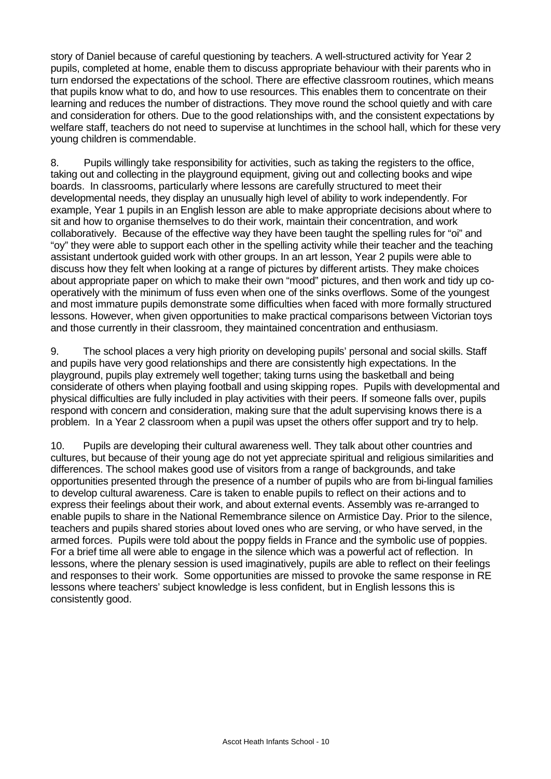story of Daniel because of careful questioning by teachers. A well-structured activity for Year 2 pupils, completed at home, enable them to discuss appropriate behaviour with their parents who in turn endorsed the expectations of the school. There are effective classroom routines, which means that pupils know what to do, and how to use resources. This enables them to concentrate on their learning and reduces the number of distractions. They move round the school quietly and with care and consideration for others. Due to the good relationships with, and the consistent expectations by welfare staff, teachers do not need to supervise at lunchtimes in the school hall, which for these very young children is commendable.

8. Pupils willingly take responsibility for activities, such as taking the registers to the office, taking out and collecting in the playground equipment, giving out and collecting books and wipe boards. In classrooms, particularly where lessons are carefully structured to meet their developmental needs, they display an unusually high level of ability to work independently. For example, Year 1 pupils in an English lesson are able to make appropriate decisions about where to sit and how to organise themselves to do their work, maintain their concentration, and work collaboratively. Because of the effective way they have been taught the spelling rules for "oi" and "oy" they were able to support each other in the spelling activity while their teacher and the teaching assistant undertook guided work with other groups. In an art lesson, Year 2 pupils were able to discuss how they felt when looking at a range of pictures by different artists. They make choices about appropriate paper on which to make their own "mood" pictures, and then work and tidy up cooperatively with the minimum of fuss even when one of the sinks overflows. Some of the youngest and most immature pupils demonstrate some difficulties when faced with more formally structured lessons. However, when given opportunities to make practical comparisons between Victorian toys and those currently in their classroom, they maintained concentration and enthusiasm.

9. The school places a very high priority on developing pupils' personal and social skills. Staff and pupils have very good relationships and there are consistently high expectations. In the playground, pupils play extremely well together; taking turns using the basketball and being considerate of others when playing football and using skipping ropes. Pupils with developmental and physical difficulties are fully included in play activities with their peers. If someone falls over, pupils respond with concern and consideration, making sure that the adult supervising knows there is a problem. In a Year 2 classroom when a pupil was upset the others offer support and try to help.

10. Pupils are developing their cultural awareness well. They talk about other countries and cultures, but because of their young age do not yet appreciate spiritual and religious similarities and differences. The school makes good use of visitors from a range of backgrounds, and take opportunities presented through the presence of a number of pupils who are from bi-lingual families to develop cultural awareness. Care is taken to enable pupils to reflect on their actions and to express their feelings about their work, and about external events. Assembly was re-arranged to enable pupils to share in the National Remembrance silence on Armistice Day. Prior to the silence, teachers and pupils shared stories about loved ones who are serving, or who have served, in the armed forces. Pupils were told about the poppy fields in France and the symbolic use of poppies. For a brief time all were able to engage in the silence which was a powerful act of reflection. In lessons, where the plenary session is used imaginatively, pupils are able to reflect on their feelings and responses to their work. Some opportunities are missed to provoke the same response in RE lessons where teachers' subject knowledge is less confident, but in English lessons this is consistently good.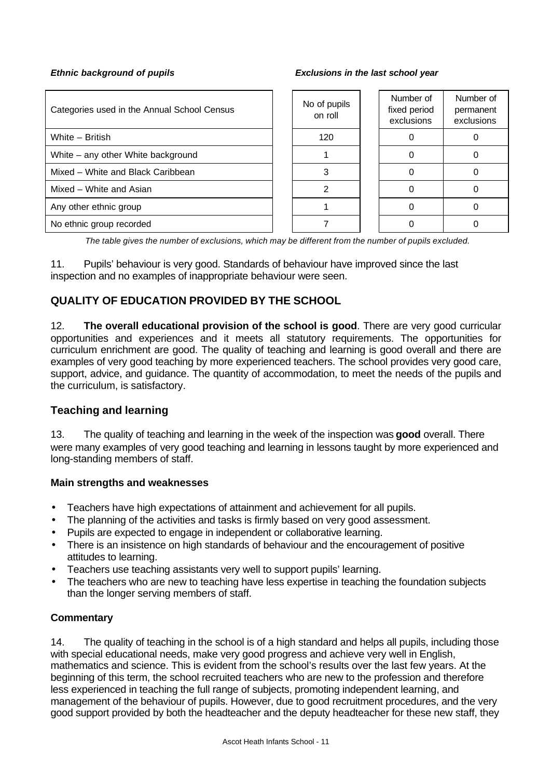| Categories used in the Annual School Census | No of pupils<br>on roll | Number of<br>fixed period<br>exclusions | Number of<br>permanent<br>exclusions |
|---------------------------------------------|-------------------------|-----------------------------------------|--------------------------------------|
| White - British                             | 120                     |                                         |                                      |
| White – any other White background          |                         |                                         |                                      |
| Mixed – White and Black Caribbean           |                         |                                         |                                      |
| Mixed - White and Asian                     |                         |                                         |                                      |
| Any other ethnic group                      |                         |                                         |                                      |
| No ethnic group recorded                    |                         |                                         |                                      |

*The table gives the number of exclusions, which may be different from the number of pupils excluded.*

11. Pupils' behaviour is very good. Standards of behaviour have improved since the last inspection and no examples of inappropriate behaviour were seen.

## **QUALITY OF EDUCATION PROVIDED BY THE SCHOOL**

12. **The overall educational provision of the school is good**. There are very good curricular opportunities and experiences and it meets all statutory requirements. The opportunities for curriculum enrichment are good. The quality of teaching and learning is good overall and there are examples of very good teaching by more experienced teachers. The school provides very good care, support, advice, and guidance. The quantity of accommodation, to meet the needs of the pupils and the curriculum, is satisfactory.

## **Teaching and learning**

13. The quality of teaching and learning in the week of the inspection was **good** overall. There were many examples of very good teaching and learning in lessons taught by more experienced and long-standing members of staff.

#### **Main strengths and weaknesses**

- Teachers have high expectations of attainment and achievement for all pupils.
- The planning of the activities and tasks is firmly based on very good assessment.
- Pupils are expected to engage in independent or collaborative learning.
- There is an insistence on high standards of behaviour and the encouragement of positive attitudes to learning.
- Teachers use teaching assistants very well to support pupils' learning.
- The teachers who are new to teaching have less expertise in teaching the foundation subjects than the longer serving members of staff.

#### **Commentary**

14. The quality of teaching in the school is of a high standard and helps all pupils, including those with special educational needs, make very good progress and achieve very well in English, mathematics and science. This is evident from the school's results over the last few years. At the beginning of this term, the school recruited teachers who are new to the profession and therefore less experienced in teaching the full range of subjects, promoting independent learning, and management of the behaviour of pupils. However, due to good recruitment procedures, and the very good support provided by both the headteacher and the deputy headteacher for these new staff, they

#### *Ethnic background of pupils Exclusions in the last school year*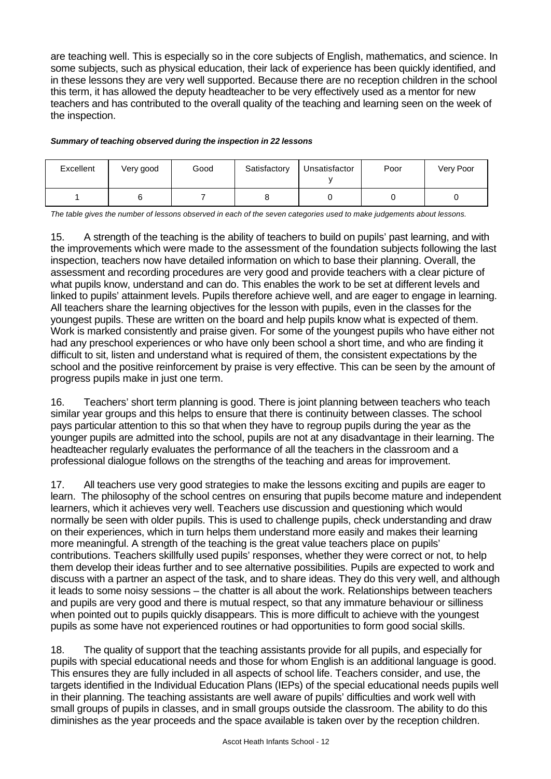are teaching well. This is especially so in the core subjects of English, mathematics, and science. In some subjects, such as physical education, their lack of experience has been quickly identified, and in these lessons they are very well supported. Because there are no reception children in the school this term, it has allowed the deputy headteacher to be very effectively used as a mentor for new teachers and has contributed to the overall quality of the teaching and learning seen on the week of the inspection.

*Summary of teaching observed during the inspection in 22 lessons*

| Excellent | Very good | Good | Satisfactory | Unsatisfactor | Poor | Very Poor |
|-----------|-----------|------|--------------|---------------|------|-----------|
|           |           |      |              |               |      |           |

*The table gives the number of lessons observed in each of the seven categories used to make judgements about lessons.*

15. A strength of the teaching is the ability of teachers to build on pupils' past learning, and with the improvements which were made to the assessment of the foundation subjects following the last inspection, teachers now have detailed information on which to base their planning. Overall, the assessment and recording procedures are very good and provide teachers with a clear picture of what pupils know, understand and can do. This enables the work to be set at different levels and linked to pupils' attainment levels. Pupils therefore achieve well, and are eager to engage in learning. All teachers share the learning objectives for the lesson with pupils, even in the classes for the youngest pupils. These are written on the board and help pupils know what is expected of them. Work is marked consistently and praise given. For some of the youngest pupils who have either not had any preschool experiences or who have only been school a short time, and who are finding it difficult to sit, listen and understand what is required of them, the consistent expectations by the school and the positive reinforcement by praise is very effective. This can be seen by the amount of progress pupils make in just one term.

16. Teachers' short term planning is good. There is joint planning between teachers who teach similar year groups and this helps to ensure that there is continuity between classes. The school pays particular attention to this so that when they have to regroup pupils during the year as the younger pupils are admitted into the school, pupils are not at any disadvantage in their learning. The headteacher regularly evaluates the performance of all the teachers in the classroom and a professional dialogue follows on the strengths of the teaching and areas for improvement.

17. All teachers use very good strategies to make the lessons exciting and pupils are eager to learn. The philosophy of the school centres on ensuring that pupils become mature and independent learners, which it achieves very well. Teachers use discussion and questioning which would normally be seen with older pupils. This is used to challenge pupils, check understanding and draw on their experiences, which in turn helps them understand more easily and makes their learning more meaningful. A strength of the teaching is the great value teachers place on pupils' contributions. Teachers skillfully used pupils' responses, whether they were correct or not, to help them develop their ideas further and to see alternative possibilities. Pupils are expected to work and discuss with a partner an aspect of the task, and to share ideas. They do this very well, and although it leads to some noisy sessions – the chatter is all about the work. Relationships between teachers and pupils are very good and there is mutual respect, so that any immature behaviour or silliness when pointed out to pupils quickly disappears. This is more difficult to achieve with the youngest pupils as some have not experienced routines or had opportunities to form good social skills.

18. The quality of support that the teaching assistants provide for all pupils, and especially for pupils with special educational needs and those for whom English is an additional language is good. This ensures they are fully included in all aspects of school life. Teachers consider, and use, the targets identified in the Individual Education Plans (IEPs) of the special educational needs pupils well in their planning. The teaching assistants are well aware of pupils' difficulties and work well with small groups of pupils in classes, and in small groups outside the classroom. The ability to do this diminishes as the year proceeds and the space available is taken over by the reception children.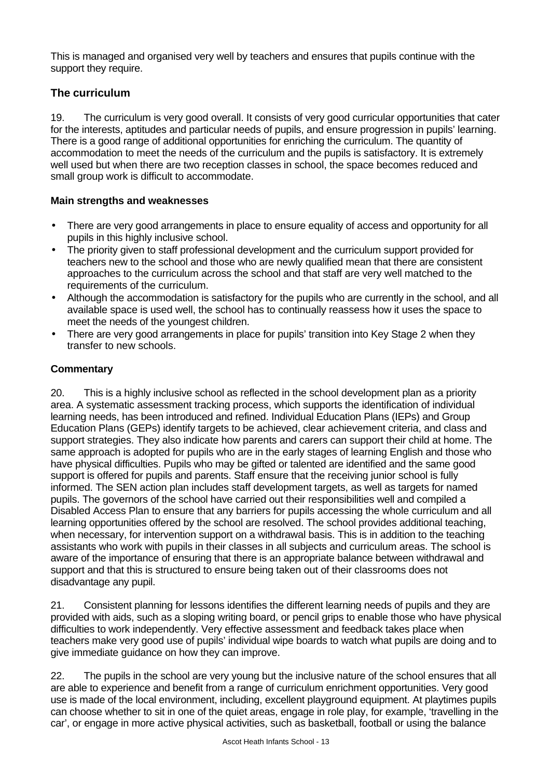This is managed and organised very well by teachers and ensures that pupils continue with the support they require.

## **The curriculum**

19. The curriculum is very good overall. It consists of very good curricular opportunities that cater for the interests, aptitudes and particular needs of pupils, and ensure progression in pupils' learning. There is a good range of additional opportunities for enriching the curriculum. The quantity of accommodation to meet the needs of the curriculum and the pupils is satisfactory. It is extremely well used but when there are two reception classes in school, the space becomes reduced and small group work is difficult to accommodate.

## **Main strengths and weaknesses**

- There are very good arrangements in place to ensure equality of access and opportunity for all pupils in this highly inclusive school.
- The priority given to staff professional development and the curriculum support provided for teachers new to the school and those who are newly qualified mean that there are consistent approaches to the curriculum across the school and that staff are very well matched to the requirements of the curriculum.
- Although the accommodation is satisfactory for the pupils who are currently in the school, and all available space is used well, the school has to continually reassess how it uses the space to meet the needs of the youngest children.
- There are very good arrangements in place for pupils' transition into Key Stage 2 when they transfer to new schools.

## **Commentary**

20. This is a highly inclusive school as reflected in the school development plan as a priority area. A systematic assessment tracking process, which supports the identification of individual learning needs, has been introduced and refined. Individual Education Plans (IEPs) and Group Education Plans (GEPs) identify targets to be achieved, clear achievement criteria, and class and support strategies. They also indicate how parents and carers can support their child at home. The same approach is adopted for pupils who are in the early stages of learning English and those who have physical difficulties. Pupils who may be gifted or talented are identified and the same good support is offered for pupils and parents. Staff ensure that the receiving junior school is fully informed. The SEN action plan includes staff development targets, as well as targets for named pupils. The governors of the school have carried out their responsibilities well and compiled a Disabled Access Plan to ensure that any barriers for pupils accessing the whole curriculum and all learning opportunities offered by the school are resolved. The school provides additional teaching, when necessary, for intervention support on a withdrawal basis. This is in addition to the teaching assistants who work with pupils in their classes in all subjects and curriculum areas. The school is aware of the importance of ensuring that there is an appropriate balance between withdrawal and support and that this is structured to ensure being taken out of their classrooms does not disadvantage any pupil.

21. Consistent planning for lessons identifies the different learning needs of pupils and they are provided with aids, such as a sloping writing board, or pencil grips to enable those who have physical difficulties to work independently. Very effective assessment and feedback takes place when teachers make very good use of pupils' individual wipe boards to watch what pupils are doing and to give immediate guidance on how they can improve.

22. The pupils in the school are very young but the inclusive nature of the school ensures that all are able to experience and benefit from a range of curriculum enrichment opportunities. Very good use is made of the local environment, including, excellent playground equipment. At playtimes pupils can choose whether to sit in one of the quiet areas, engage in role play, for example, 'travelling in the car', or engage in more active physical activities, such as basketball, football or using the balance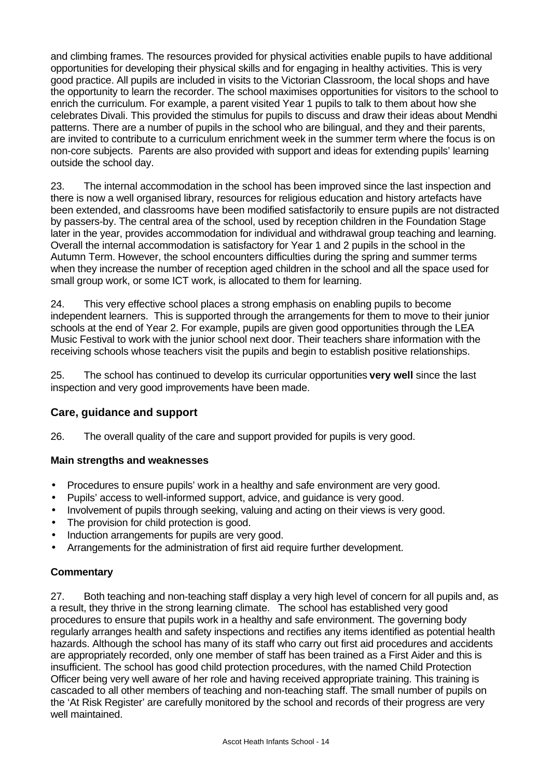and climbing frames. The resources provided for physical activities enable pupils to have additional opportunities for developing their physical skills and for engaging in healthy activities. This is very good practice. All pupils are included in visits to the Victorian Classroom, the local shops and have the opportunity to learn the recorder. The school maximises opportunities for visitors to the school to enrich the curriculum. For example, a parent visited Year 1 pupils to talk to them about how she celebrates Divali. This provided the stimulus for pupils to discuss and draw their ideas about Mendhi patterns. There are a number of pupils in the school who are bilingual, and they and their parents, are invited to contribute to a curriculum enrichment week in the summer term where the focus is on non-core subjects. Parents are also provided with support and ideas for extending pupils' learning outside the school day.

23. The internal accommodation in the school has been improved since the last inspection and there is now a well organised library, resources for religious education and history artefacts have been extended, and classrooms have been modified satisfactorily to ensure pupils are not distracted by passers-by. The central area of the school, used by reception children in the Foundation Stage later in the year, provides accommodation for individual and withdrawal group teaching and learning. Overall the internal accommodation is satisfactory for Year 1 and 2 pupils in the school in the Autumn Term. However, the school encounters difficulties during the spring and summer terms when they increase the number of reception aged children in the school and all the space used for small group work, or some ICT work, is allocated to them for learning.

24. This very effective school places a strong emphasis on enabling pupils to become independent learners. This is supported through the arrangements for them to move to their junior schools at the end of Year 2. For example, pupils are given good opportunities through the LEA Music Festival to work with the junior school next door. Their teachers share information with the receiving schools whose teachers visit the pupils and begin to establish positive relationships.

25. The school has continued to develop its curricular opportunities **very well** since the last inspection and very good improvements have been made.

## **Care, guidance and support**

26. The overall quality of the care and support provided for pupils is very good.

#### **Main strengths and weaknesses**

- Procedures to ensure pupils' work in a healthy and safe environment are very good.
- Pupils' access to well-informed support, advice, and guidance is very good.
- Involvement of pupils through seeking, valuing and acting on their views is very good.
- The provision for child protection is good.
- Induction arrangements for pupils are very good.
- Arrangements for the administration of first aid require further development.

## **Commentary**

27. Both teaching and non-teaching staff display a very high level of concern for all pupils and, as a result, they thrive in the strong learning climate. The school has established very good procedures to ensure that pupils work in a healthy and safe environment. The governing body regularly arranges health and safety inspections and rectifies any items identified as potential health hazards. Although the school has many of its staff who carry out first aid procedures and accidents are appropriately recorded, only one member of staff has been trained as a First Aider and this is insufficient. The school has good child protection procedures, with the named Child Protection Officer being very well aware of her role and having received appropriate training. This training is cascaded to all other members of teaching and non-teaching staff. The small number of pupils on the 'At Risk Register' are carefully monitored by the school and records of their progress are very well maintained.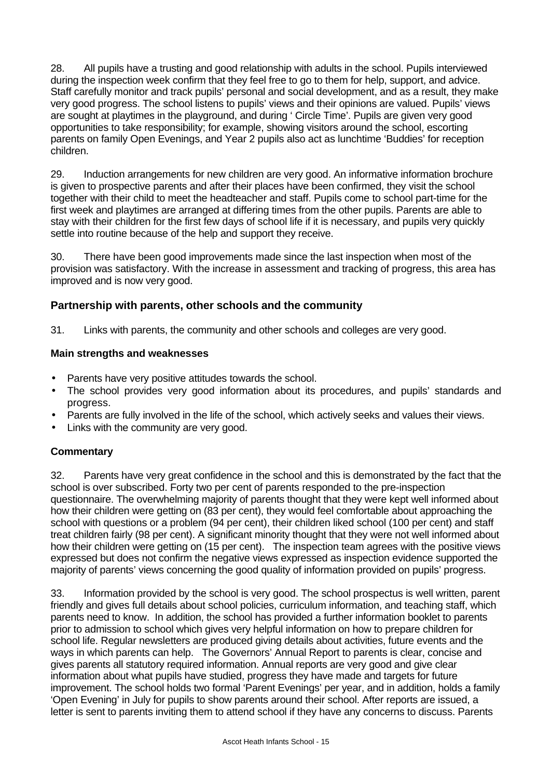28. All pupils have a trusting and good relationship with adults in the school. Pupils interviewed during the inspection week confirm that they feel free to go to them for help, support, and advice. Staff carefully monitor and track pupils' personal and social development, and as a result, they make very good progress. The school listens to pupils' views and their opinions are valued. Pupils' views are sought at playtimes in the playground, and during ' Circle Time'. Pupils are given very good opportunities to take responsibility; for example, showing visitors around the school, escorting parents on family Open Evenings, and Year 2 pupils also act as lunchtime 'Buddies' for reception children.

29. Induction arrangements for new children are very good. An informative information brochure is given to prospective parents and after their places have been confirmed, they visit the school together with their child to meet the headteacher and staff. Pupils come to school part-time for the first week and playtimes are arranged at differing times from the other pupils. Parents are able to stay with their children for the first few days of school life if it is necessary, and pupils very quickly settle into routine because of the help and support they receive.

30. There have been good improvements made since the last inspection when most of the provision was satisfactory. With the increase in assessment and tracking of progress, this area has improved and is now very good.

## **Partnership with parents, other schools and the community**

31. Links with parents, the community and other schools and colleges are very good.

## **Main strengths and weaknesses**

- Parents have very positive attitudes towards the school.
- The school provides very good information about its procedures, and pupils' standards and progress.
- Parents are fully involved in the life of the school, which actively seeks and values their views.
- Links with the community are very good.

## **Commentary**

32. Parents have very great confidence in the school and this is demonstrated by the fact that the school is over subscribed. Forty two per cent of parents responded to the pre-inspection questionnaire. The overwhelming majority of parents thought that they were kept well informed about how their children were getting on (83 per cent), they would feel comfortable about approaching the school with questions or a problem (94 per cent), their children liked school (100 per cent) and staff treat children fairly (98 per cent). A significant minority thought that they were not well informed about how their children were getting on (15 per cent). The inspection team agrees with the positive views expressed but does not confirm the negative views expressed as inspection evidence supported the majority of parents' views concerning the good quality of information provided on pupils' progress.

33. Information provided by the school is very good. The school prospectus is well written, parent friendly and gives full details about school policies, curriculum information, and teaching staff, which parents need to know. In addition, the school has provided a further information booklet to parents prior to admission to school which gives very helpful information on how to prepare children for school life. Regular newsletters are produced giving details about activities, future events and the ways in which parents can help. The Governors' Annual Report to parents is clear, concise and gives parents all statutory required information. Annual reports are very good and give clear information about what pupils have studied, progress they have made and targets for future improvement. The school holds two formal 'Parent Evenings' per year, and in addition, holds a family 'Open Evening' in July for pupils to show parents around their school. After reports are issued, a letter is sent to parents inviting them to attend school if they have any concerns to discuss. Parents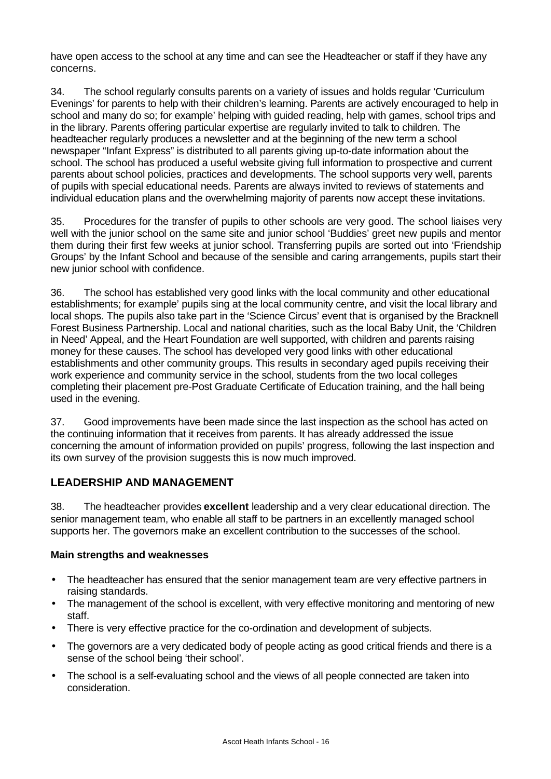have open access to the school at any time and can see the Headteacher or staff if they have any concerns.

34. The school regularly consults parents on a variety of issues and holds regular 'Curriculum Evenings' for parents to help with their children's learning. Parents are actively encouraged to help in school and many do so; for example' helping with guided reading, help with games, school trips and in the library. Parents offering particular expertise are regularly invited to talk to children. The headteacher regularly produces a newsletter and at the beginning of the new term a school newspaper "Infant Express" is distributed to all parents giving up-to-date information about the school. The school has produced a useful website giving full information to prospective and current parents about school policies, practices and developments. The school supports very well, parents of pupils with special educational needs. Parents are always invited to reviews of statements and individual education plans and the overwhelming majority of parents now accept these invitations.

35. Procedures for the transfer of pupils to other schools are very good. The school liaises very well with the junior school on the same site and junior school 'Buddies' greet new pupils and mentor them during their first few weeks at junior school. Transferring pupils are sorted out into 'Friendship Groups' by the Infant School and because of the sensible and caring arrangements, pupils start their new junior school with confidence.

36. The school has established very good links with the local community and other educational establishments; for example' pupils sing at the local community centre, and visit the local library and local shops. The pupils also take part in the 'Science Circus' event that is organised by the Bracknell Forest Business Partnership. Local and national charities, such as the local Baby Unit, the 'Children in Need' Appeal, and the Heart Foundation are well supported, with children and parents raising money for these causes. The school has developed very good links with other educational establishments and other community groups. This results in secondary aged pupils receiving their work experience and community service in the school, students from the two local colleges completing their placement pre-Post Graduate Certificate of Education training, and the hall being used in the evening.

37. Good improvements have been made since the last inspection as the school has acted on the continuing information that it receives from parents. It has already addressed the issue concerning the amount of information provided on pupils' progress, following the last inspection and its own survey of the provision suggests this is now much improved.

## **LEADERSHIP AND MANAGEMENT**

38. The headteacher provides **excellent** leadership and a very clear educational direction. The senior management team, who enable all staff to be partners in an excellently managed school supports her. The governors make an excellent contribution to the successes of the school.

#### **Main strengths and weaknesses**

- The headteacher has ensured that the senior management team are very effective partners in raising standards.
- The management of the school is excellent, with very effective monitoring and mentoring of new staff.
- There is very effective practice for the co-ordination and development of subjects.
- The governors are a very dedicated body of people acting as good critical friends and there is a sense of the school being 'their school'.
- The school is a self-evaluating school and the views of all people connected are taken into consideration.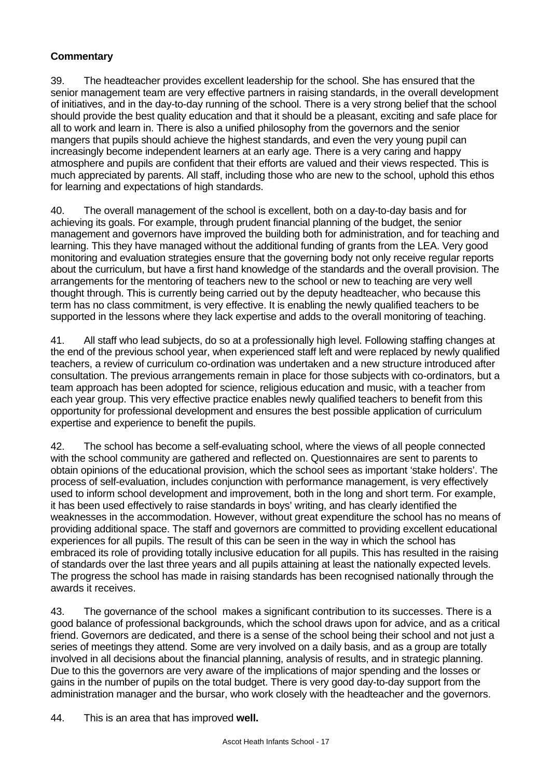## **Commentary**

39. The headteacher provides excellent leadership for the school. She has ensured that the senior management team are very effective partners in raising standards, in the overall development of initiatives, and in the day-to-day running of the school. There is a very strong belief that the school should provide the best quality education and that it should be a pleasant, exciting and safe place for all to work and learn in. There is also a unified philosophy from the governors and the senior mangers that pupils should achieve the highest standards, and even the very young pupil can increasingly become independent learners at an early age. There is a very caring and happy atmosphere and pupils are confident that their efforts are valued and their views respected. This is much appreciated by parents. All staff, including those who are new to the school, uphold this ethos for learning and expectations of high standards.

40. The overall management of the school is excellent, both on a day-to-day basis and for achieving its goals. For example, through prudent financial planning of the budget, the senior management and governors have improved the building both for administration, and for teaching and learning. This they have managed without the additional funding of grants from the LEA. Very good monitoring and evaluation strategies ensure that the governing body not only receive regular reports about the curriculum, but have a first hand knowledge of the standards and the overall provision. The arrangements for the mentoring of teachers new to the school or new to teaching are very well thought through. This is currently being carried out by the deputy headteacher, who because this term has no class commitment, is very effective. It is enabling the newly qualified teachers to be supported in the lessons where they lack expertise and adds to the overall monitoring of teaching.

41. All staff who lead subjects, do so at a professionally high level. Following staffing changes at the end of the previous school year, when experienced staff left and were replaced by newly qualified teachers, a review of curriculum co-ordination was undertaken and a new structure introduced after consultation. The previous arrangements remain in place for those subjects with co-ordinators, but a team approach has been adopted for science, religious education and music, with a teacher from each year group. This very effective practice enables newly qualified teachers to benefit from this opportunity for professional development and ensures the best possible application of curriculum expertise and experience to benefit the pupils.

42. The school has become a self-evaluating school, where the views of all people connected with the school community are gathered and reflected on. Questionnaires are sent to parents to obtain opinions of the educational provision, which the school sees as important 'stake holders'. The process of self-evaluation, includes conjunction with performance management, is very effectively used to inform school development and improvement, both in the long and short term. For example, it has been used effectively to raise standards in boys' writing, and has clearly identified the weaknesses in the accommodation. However, without great expenditure the school has no means of providing additional space. The staff and governors are committed to providing excellent educational experiences for all pupils. The result of this can be seen in the way in which the school has embraced its role of providing totally inclusive education for all pupils. This has resulted in the raising of standards over the last three years and all pupils attaining at least the nationally expected levels. The progress the school has made in raising standards has been recognised nationally through the awards it receives.

43. The governance of the school makes a significant contribution to its successes. There is a good balance of professional backgrounds, which the school draws upon for advice, and as a critical friend. Governors are dedicated, and there is a sense of the school being their school and not just a series of meetings they attend. Some are very involved on a daily basis, and as a group are totally involved in all decisions about the financial planning, analysis of results, and in strategic planning. Due to this the governors are very aware of the implications of major spending and the losses or gains in the number of pupils on the total budget. There is very good day-to-day support from the administration manager and the bursar, who work closely with the headteacher and the governors.

44. This is an area that has improved **well.**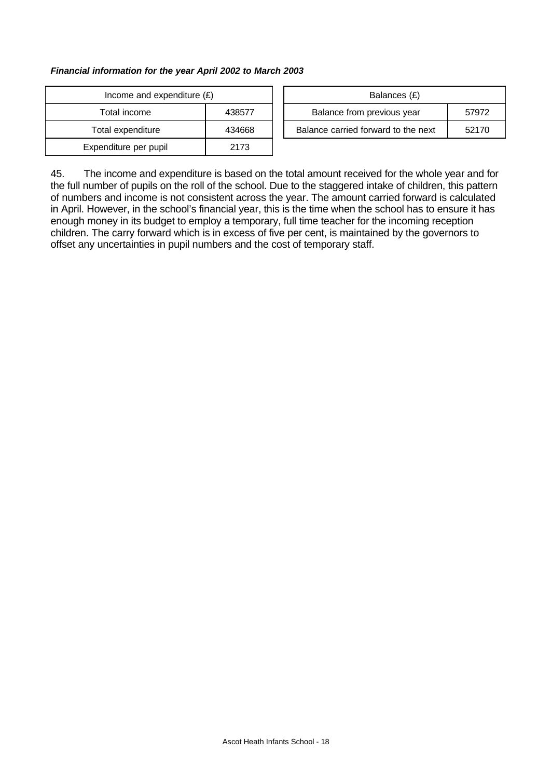#### *Financial information for the year April 2002 to March 2003*

| Income and expenditure $(E)$ | Balances (£) |                                |
|------------------------------|--------------|--------------------------------|
| Total income                 | 438577       | Balance from previous year     |
| Total expenditure            | 434668       | Balance carried forward to the |
| Expenditure per pupil        | 2173         |                                |

| Income and expenditure $(E)$ |        | Balances (£)                        |       |
|------------------------------|--------|-------------------------------------|-------|
| Total income                 | 438577 | Balance from previous year          | 57972 |
| Total expenditure            | 434668 | Balance carried forward to the next | 52170 |

45. The income and expenditure is based on the total amount received for the whole year and for the full number of pupils on the roll of the school. Due to the staggered intake of children, this pattern of numbers and income is not consistent across the year. The amount carried forward is calculated in April. However, in the school's financial year, this is the time when the school has to ensure it has enough money in its budget to employ a temporary, full time teacher for the incoming reception children. The carry forward which is in excess of five per cent, is maintained by the governors to offset any uncertainties in pupil numbers and the cost of temporary staff.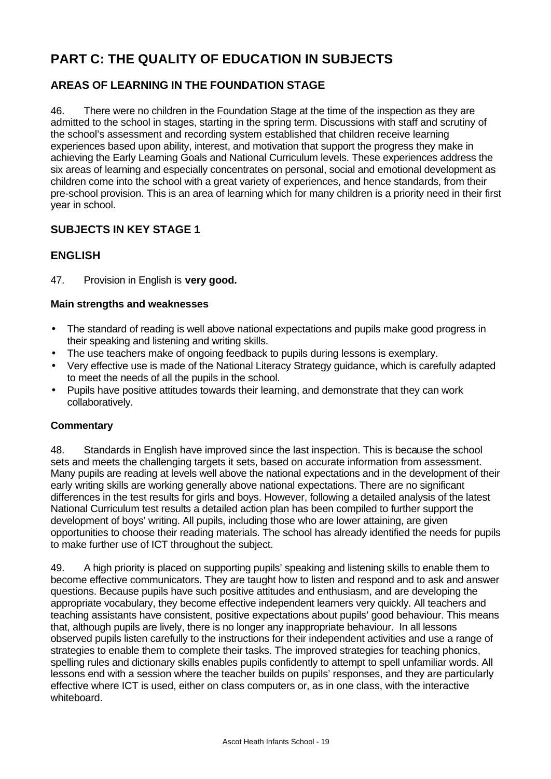# **PART C: THE QUALITY OF EDUCATION IN SUBJECTS**

## **AREAS OF LEARNING IN THE FOUNDATION STAGE**

46. There were no children in the Foundation Stage at the time of the inspection as they are admitted to the school in stages, starting in the spring term. Discussions with staff and scrutiny of the school's assessment and recording system established that children receive learning experiences based upon ability, interest, and motivation that support the progress they make in achieving the Early Learning Goals and National Curriculum levels. These experiences address the six areas of learning and especially concentrates on personal, social and emotional development as children come into the school with a great variety of experiences, and hence standards, from their pre-school provision. This is an area of learning which for many children is a priority need in their first year in school.

## **SUBJECTS IN KEY STAGE 1**

## **ENGLISH**

## 47. Provision in English is **very good.**

## **Main strengths and weaknesses**

- The standard of reading is well above national expectations and pupils make good progress in their speaking and listening and writing skills.
- The use teachers make of ongoing feedback to pupils during lessons is exemplary.
- Very effective use is made of the National Literacy Strategy guidance, which is carefully adapted to meet the needs of all the pupils in the school.
- Pupils have positive attitudes towards their learning, and demonstrate that they can work collaboratively.

#### **Commentary**

48. Standards in English have improved since the last inspection. This is because the school sets and meets the challenging targets it sets, based on accurate information from assessment. Many pupils are reading at levels well above the national expectations and in the development of their early writing skills are working generally above national expectations. There are no significant differences in the test results for girls and boys. However, following a detailed analysis of the latest National Curriculum test results a detailed action plan has been compiled to further support the development of boys' writing. All pupils, including those who are lower attaining, are given opportunities to choose their reading materials. The school has already identified the needs for pupils to make further use of ICT throughout the subject.

49. A high priority is placed on supporting pupils' speaking and listening skills to enable them to become effective communicators. They are taught how to listen and respond and to ask and answer questions. Because pupils have such positive attitudes and enthusiasm, and are developing the appropriate vocabulary, they become effective independent learners very quickly. All teachers and teaching assistants have consistent, positive expectations about pupils' good behaviour. This means that, although pupils are lively, there is no longer any inappropriate behaviour. In all lessons observed pupils listen carefully to the instructions for their independent activities and use a range of strategies to enable them to complete their tasks. The improved strategies for teaching phonics, spelling rules and dictionary skills enables pupils confidently to attempt to spell unfamiliar words. All lessons end with a session where the teacher builds on pupils' responses, and they are particularly effective where ICT is used, either on class computers or, as in one class, with the interactive whiteboard.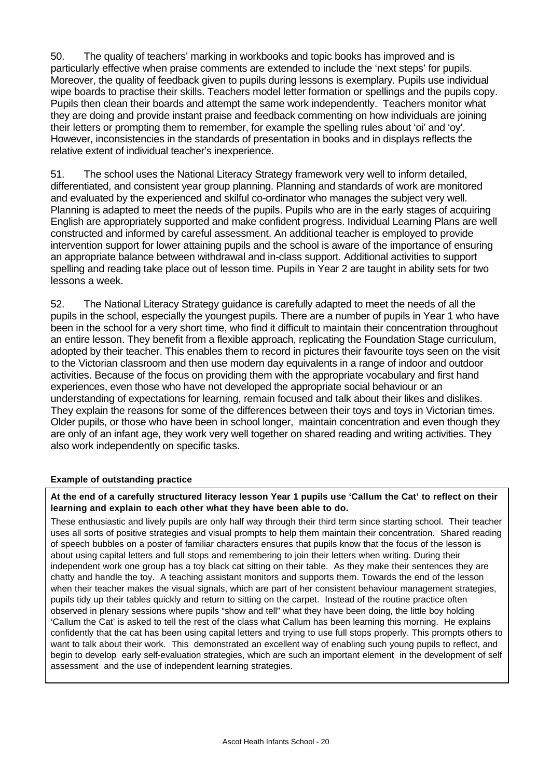50. The quality of teachers' marking in workbooks and topic books has improved and is particularly effective when praise comments are extended to include the 'next steps' for pupils. Moreover, the quality of feedback given to pupils during lessons is exemplary. Pupils use individual wipe boards to practise their skills. Teachers model letter formation or spellings and the pupils copy. Pupils then clean their boards and attempt the same work independently. Teachers monitor what they are doing and provide instant praise and feedback commenting on how individuals are joining their letters or prompting them to remember, for example the spelling rules about 'oi' and 'oy'. However, inconsistencies in the standards of presentation in books and in displays reflects the relative extent of individual teacher's inexperience.

51. The school uses the National Literacy Strategy framework very well to inform detailed, differentiated, and consistent year group planning. Planning and standards of work are monitored and evaluated by the experienced and skilful co-ordinator who manages the subject very well. Planning is adapted to meet the needs of the pupils. Pupils who are in the early stages of acquiring English are appropriately supported and make confident progress. Individual Learning Plans are well constructed and informed by careful assessment. An additional teacher is employed to provide intervention support for lower attaining pupils and the school is aware of the importance of ensuring an appropriate balance between withdrawal and in-class support. Additional activities to support spelling and reading take place out of lesson time. Pupils in Year 2 are taught in ability sets for two lessons a week.

52. The National Literacy Strategy guidance is carefully adapted to meet the needs of all the pupils in the school, especially the youngest pupils. There are a number of pupils in Year 1 who have been in the school for a very short time, who find it difficult to maintain their concentration throughout an entire lesson. They benefit from a flexible approach, replicating the Foundation Stage curriculum, adopted by their teacher. This enables them to record in pictures their favourite toys seen on the visit to the Victorian classroom and then use modern day equivalents in a range of indoor and outdoor activities. Because of the focus on providing them with the appropriate vocabulary and first hand experiences, even those who have not developed the appropriate social behaviour or an understanding of expectations for learning, remain focused and talk about their likes and dislikes. They explain the reasons for some of the differences between their toys and toys in Victorian times. Older pupils, or those who have been in school longer, maintain concentration and even though they are only of an infant age, they work very well together on shared reading and writing activities. They also work independently on specific tasks.

#### **Example of outstanding practice**

**At the end of a carefully structured literacy lesson Year 1 pupils use 'Callum the Cat' to reflect on their learning and explain to each other what they have been able to do.**

These enthusiastic and lively pupils are only half way through their third term since starting school. Their teacher uses all sorts of positive strategies and visual prompts to help them maintain their concentration. Shared reading of speech bubbles on a poster of familiar characters ensures that pupils know that the focus of the lesson is about using capital letters and full stops and remembering to join their letters when writing. During their independent work one group has a toy black cat sitting on their table. As they make their sentences they are chatty and handle the toy. A teaching assistant monitors and supports them. Towards the end of the lesson when their teacher makes the visual signals, which are part of her consistent behaviour management strategies, pupils tidy up their tables quickly and return to sitting on the carpet. Instead of the routine practice often observed in plenary sessions where pupils "show and tell" what they have been doing, the little boy holding 'Callum the Cat' is asked to tell the rest of the class what Callum has been learning this morning. He explains confidently that the cat has been using capital letters and trying to use full stops properly. This prompts others to want to talk about their work. This demonstrated an excellent way of enabling such young pupils to reflect, and begin to develop early self-evaluation strategies, which are such an important element in the development of self assessment and the use of independent learning strategies.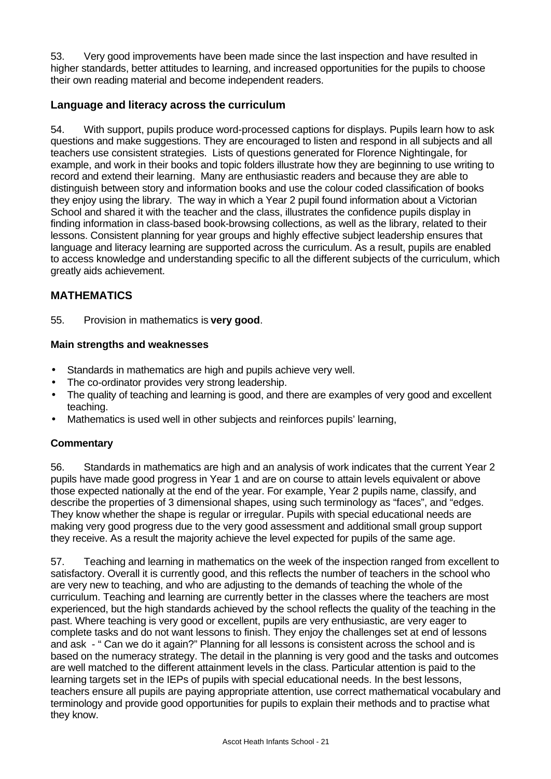53. Very good improvements have been made since the last inspection and have resulted in higher standards, better attitudes to learning, and increased opportunities for the pupils to choose their own reading material and become independent readers.

## **Language and literacy across the curriculum**

54. With support, pupils produce word-processed captions for displays. Pupils learn how to ask questions and make suggestions. They are encouraged to listen and respond in all subjects and all teachers use consistent strategies. Lists of questions generated for Florence Nightingale, for example, and work in their books and topic folders illustrate how they are beginning to use writing to record and extend their learning. Many are enthusiastic readers and because they are able to distinguish between story and information books and use the colour coded classification of books they enjoy using the library. The way in which a Year 2 pupil found information about a Victorian School and shared it with the teacher and the class, illustrates the confidence pupils display in finding information in class-based book-browsing collections, as well as the library, related to their lessons. Consistent planning for year groups and highly effective subject leadership ensures that language and literacy learning are supported across the curriculum. As a result, pupils are enabled to access knowledge and understanding specific to all the different subjects of the curriculum, which greatly aids achievement.

## **MATHEMATICS**

55. Provision in mathematics is **very good**.

## **Main strengths and weaknesses**

- Standards in mathematics are high and pupils achieve very well.
- The co-ordinator provides very strong leadership.
- The quality of teaching and learning is good, and there are examples of very good and excellent teaching.
- Mathematics is used well in other subjects and reinforces pupils' learning,

## **Commentary**

56. Standards in mathematics are high and an analysis of work indicates that the current Year 2 pupils have made good progress in Year 1 and are on course to attain levels equivalent or above those expected nationally at the end of the year. For example, Year 2 pupils name, classify, and describe the properties of 3 dimensional shapes, using such terminology as "faces", and "edges. They know whether the shape is regular or irregular. Pupils with special educational needs are making very good progress due to the very good assessment and additional small group support they receive. As a result the majority achieve the level expected for pupils of the same age.

57. Teaching and learning in mathematics on the week of the inspection ranged from excellent to satisfactory. Overall it is currently good, and this reflects the number of teachers in the school who are very new to teaching, and who are adjusting to the demands of teaching the whole of the curriculum. Teaching and learning are currently better in the classes where the teachers are most experienced, but the high standards achieved by the school reflects the quality of the teaching in the past. Where teaching is very good or excellent, pupils are very enthusiastic, are very eager to complete tasks and do not want lessons to finish. They enjoy the challenges set at end of lessons and ask - " Can we do it again?" Planning for all lessons is consistent across the school and is based on the numeracy strategy. The detail in the planning is very good and the tasks and outcomes are well matched to the different attainment levels in the class. Particular attention is paid to the learning targets set in the IEPs of pupils with special educational needs. In the best lessons, teachers ensure all pupils are paying appropriate attention, use correct mathematical vocabulary and terminology and provide good opportunities for pupils to explain their methods and to practise what they know.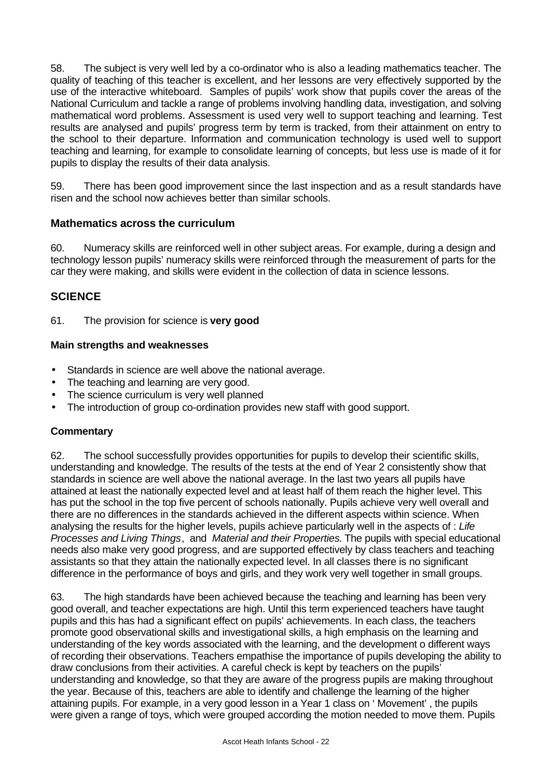58. The subject is very well led by a co-ordinator who is also a leading mathematics teacher. The quality of teaching of this teacher is excellent, and her lessons are very effectively supported by the use of the interactive whiteboard. Samples of pupils' work show that pupils cover the areas of the National Curriculum and tackle a range of problems involving handling data, investigation, and solving mathematical word problems. Assessment is used very well to support teaching and learning. Test results are analysed and pupils' progress term by term is tracked, from their attainment on entry to the school to their departure. Information and communication technology is used well to support teaching and learning, for example to consolidate learning of concepts, but less use is made of it for pupils to display the results of their data analysis.

59. There has been good improvement since the last inspection and as a result standards have risen and the school now achieves better than similar schools.

## **Mathematics across the curriculum**

60. Numeracy skills are reinforced well in other subject areas. For example, during a design and technology lesson pupils' numeracy skills were reinforced through the measurement of parts for the car they were making, and skills were evident in the collection of data in science lessons.

## **SCIENCE**

61. The provision for science is **very good**

#### **Main strengths and weaknesses**

- Standards in science are well above the national average.
- The teaching and learning are very good.
- The science curriculum is very well planned
- The introduction of group co-ordination provides new staff with good support.

#### **Commentary**

62. The school successfully provides opportunities for pupils to develop their scientific skills, understanding and knowledge. The results of the tests at the end of Year 2 consistently show that standards in science are well above the national average. In the last two years all pupils have attained at least the nationally expected level and at least half of them reach the higher level. This has put the school in the top five percent of schools nationally. Pupils achieve very well overall and there are no differences in the standards achieved in the different aspects within science. When analysing the results for the higher levels, pupils achieve particularly well in the aspects of : *Life Processes and Living Things*, and *Material and their Properties.* The pupils with special educational needs also make very good progress, and are supported effectively by class teachers and teaching assistants so that they attain the nationally expected level. In all classes there is no significant difference in the performance of boys and girls, and they work very well together in small groups.

63. The high standards have been achieved because the teaching and learning has been very good overall, and teacher expectations are high. Until this term experienced teachers have taught pupils and this has had a significant effect on pupils' achievements. In each class, the teachers promote good observational skills and investigational skills, a high emphasis on the learning and understanding of the key words associated with the learning, and the development o different ways of recording their observations. Teachers empathise the importance of pupils developing the ability to draw conclusions from their activities. A careful check is kept by teachers on the pupils' understanding and knowledge, so that they are aware of the progress pupils are making throughout the year. Because of this, teachers are able to identify and challenge the learning of the higher attaining pupils. For example, in a very good lesson in a Year 1 class on ' Movement' , the pupils were given a range of toys, which were grouped according the motion needed to move them. Pupils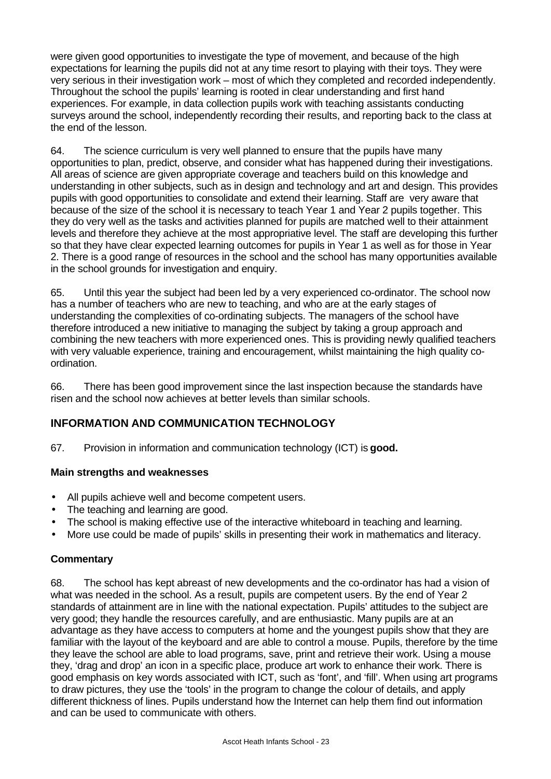were given good opportunities to investigate the type of movement, and because of the high expectations for learning the pupils did not at any time resort to playing with their toys. They were very serious in their investigation work – most of which they completed and recorded independently. Throughout the school the pupils' learning is rooted in clear understanding and first hand experiences. For example, in data collection pupils work with teaching assistants conducting surveys around the school, independently recording their results, and reporting back to the class at the end of the lesson.

64. The science curriculum is very well planned to ensure that the pupils have many opportunities to plan, predict, observe, and consider what has happened during their investigations. All areas of science are given appropriate coverage and teachers build on this knowledge and understanding in other subjects, such as in design and technology and art and design. This provides pupils with good opportunities to consolidate and extend their learning. Staff are very aware that because of the size of the school it is necessary to teach Year 1 and Year 2 pupils together. This they do very well as the tasks and activities planned for pupils are matched well to their attainment levels and therefore they achieve at the most appropriative level. The staff are developing this further so that they have clear expected learning outcomes for pupils in Year 1 as well as for those in Year 2. There is a good range of resources in the school and the school has many opportunities available in the school grounds for investigation and enquiry.

65. Until this year the subject had been led by a very experienced co-ordinator. The school now has a number of teachers who are new to teaching, and who are at the early stages of understanding the complexities of co-ordinating subjects. The managers of the school have therefore introduced a new initiative to managing the subject by taking a group approach and combining the new teachers with more experienced ones. This is providing newly qualified teachers with very valuable experience, training and encouragement, whilst maintaining the high quality coordination.

66. There has been good improvement since the last inspection because the standards have risen and the school now achieves at better levels than similar schools.

## **INFORMATION AND COMMUNICATION TECHNOLOGY**

67. Provision in information and communication technology (ICT) is **good.**

#### **Main strengths and weaknesses**

- All pupils achieve well and become competent users.
- The teaching and learning are good.
- The school is making effective use of the interactive whiteboard in teaching and learning.
- More use could be made of pupils' skills in presenting their work in mathematics and literacy.

## **Commentary**

68. The school has kept abreast of new developments and the co-ordinator has had a vision of what was needed in the school. As a result, pupils are competent users. By the end of Year 2 standards of attainment are in line with the national expectation. Pupils' attitudes to the subject are very good; they handle the resources carefully, and are enthusiastic. Many pupils are at an advantage as they have access to computers at home and the youngest pupils show that they are familiar with the layout of the keyboard and are able to control a mouse. Pupils, therefore by the time they leave the school are able to load programs, save, print and retrieve their work. Using a mouse they, 'drag and drop' an icon in a specific place, produce art work to enhance their work. There is good emphasis on key words associated with ICT, such as 'font', and 'fill'. When using art programs to draw pictures, they use the 'tools' in the program to change the colour of details, and apply different thickness of lines. Pupils understand how the Internet can help them find out information and can be used to communicate with others.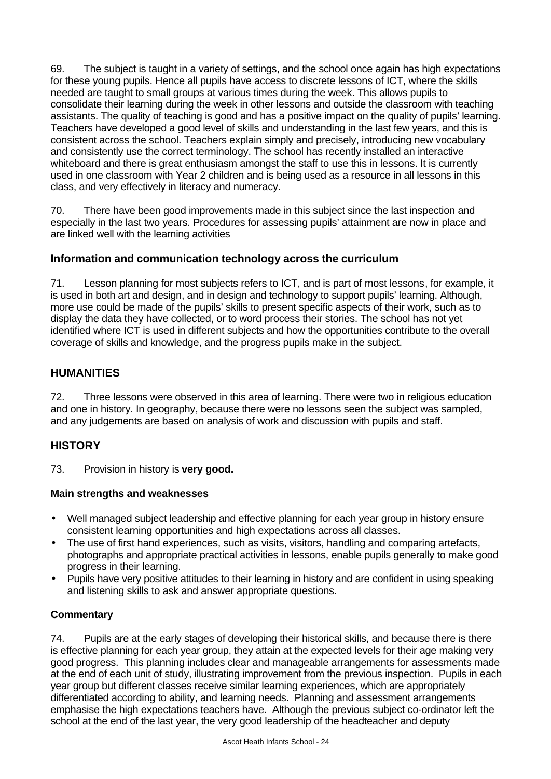69. The subject is taught in a variety of settings, and the school once again has high expectations for these young pupils. Hence all pupils have access to discrete lessons of ICT, where the skills needed are taught to small groups at various times during the week. This allows pupils to consolidate their learning during the week in other lessons and outside the classroom with teaching assistants. The quality of teaching is good and has a positive impact on the quality of pupils' learning. Teachers have developed a good level of skills and understanding in the last few years, and this is consistent across the school. Teachers explain simply and precisely, introducing new vocabulary and consistently use the correct terminology. The school has recently installed an interactive whiteboard and there is great enthusiasm amongst the staff to use this in lessons. It is currently used in one classroom with Year 2 children and is being used as a resource in all lessons in this class, and very effectively in literacy and numeracy.

70. There have been good improvements made in this subject since the last inspection and especially in the last two years. Procedures for assessing pupils' attainment are now in place and are linked well with the learning activities

## **Information and communication technology across the curriculum**

71. Lesson planning for most subjects refers to ICT, and is part of most lessons, for example, it is used in both art and design, and in design and technology to support pupils' learning. Although, more use could be made of the pupils' skills to present specific aspects of their work, such as to display the data they have collected, or to word process their stories. The school has not yet identified where ICT is used in different subjects and how the opportunities contribute to the overall coverage of skills and knowledge, and the progress pupils make in the subject.

## **HUMANITIES**

72. Three lessons were observed in this area of learning. There were two in religious education and one in history. In geography, because there were no lessons seen the subject was sampled, and any judgements are based on analysis of work and discussion with pupils and staff.

## **HISTORY**

73. Provision in history is **very good.**

## **Main strengths and weaknesses**

- Well managed subject leadership and effective planning for each year group in history ensure consistent learning opportunities and high expectations across all classes.
- The use of first hand experiences, such as visits, visitors, handling and comparing artefacts, photographs and appropriate practical activities in lessons, enable pupils generally to make good progress in their learning.
- Pupils have very positive attitudes to their learning in history and are confident in using speaking and listening skills to ask and answer appropriate questions.

## **Commentary**

74. Pupils are at the early stages of developing their historical skills, and because there is there is effective planning for each year group, they attain at the expected levels for their age making very good progress. This planning includes clear and manageable arrangements for assessments made at the end of each unit of study, illustrating improvement from the previous inspection. Pupils in each year group but different classes receive similar learning experiences, which are appropriately differentiated according to ability, and learning needs. Planning and assessment arrangements emphasise the high expectations teachers have. Although the previous subject co-ordinator left the school at the end of the last year, the very good leadership of the headteacher and deputy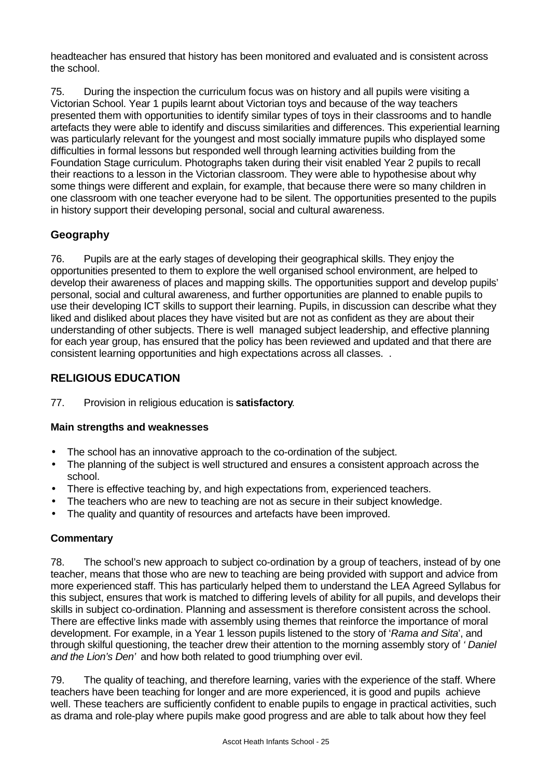headteacher has ensured that history has been monitored and evaluated and is consistent across the school.

75. During the inspection the curriculum focus was on history and all pupils were visiting a Victorian School. Year 1 pupils learnt about Victorian toys and because of the way teachers presented them with opportunities to identify similar types of toys in their classrooms and to handle artefacts they were able to identify and discuss similarities and differences. This experiential learning was particularly relevant for the youngest and most socially immature pupils who displayed some difficulties in formal lessons but responded well through learning activities building from the Foundation Stage curriculum. Photographs taken during their visit enabled Year 2 pupils to recall their reactions to a lesson in the Victorian classroom. They were able to hypothesise about why some things were different and explain, for example, that because there were so many children in one classroom with one teacher everyone had to be silent. The opportunities presented to the pupils in history support their developing personal, social and cultural awareness.

## **Geography**

76. Pupils are at the early stages of developing their geographical skills. They enjoy the opportunities presented to them to explore the well organised school environment, are helped to develop their awareness of places and mapping skills. The opportunities support and develop pupils' personal, social and cultural awareness, and further opportunities are planned to enable pupils to use their developing ICT skills to support their learning. Pupils, in discussion can describe what they liked and disliked about places they have visited but are not as confident as they are about their understanding of other subjects. There is well managed subject leadership, and effective planning for each year group, has ensured that the policy has been reviewed and updated and that there are consistent learning opportunities and high expectations across all classes. .

## **RELIGIOUS EDUCATION**

77. Provision in religious education is **satisfactory**.

#### **Main strengths and weaknesses**

- The school has an innovative approach to the co-ordination of the subject.
- The planning of the subject is well structured and ensures a consistent approach across the school.
- There is effective teaching by, and high expectations from, experienced teachers.
- The teachers who are new to teaching are not as secure in their subject knowledge.
- The quality and quantity of resources and artefacts have been improved.

#### **Commentary**

78. The school's new approach to subject co-ordination by a group of teachers, instead of by one teacher, means that those who are new to teaching are being provided with support and advice from more experienced staff. This has particularly helped them to understand the LEA Agreed Syllabus for this subject, ensures that work is matched to differing levels of ability for all pupils, and develops their skills in subject co-ordination. Planning and assessment is therefore consistent across the school. There are effective links made with assembly using themes that reinforce the importance of moral development. For example, in a Year 1 lesson pupils listened to the story of '*Rama and Sita*', and through skilful questioning, the teacher drew their attention to the morning assembly story of *' Daniel and the Lion's Den'* and how both related to good triumphing over evil.

79. The quality of teaching, and therefore learning, varies with the experience of the staff. Where teachers have been teaching for longer and are more experienced, it is good and pupils achieve well. These teachers are sufficiently confident to enable pupils to engage in practical activities, such as drama and role-play where pupils make good progress and are able to talk about how they feel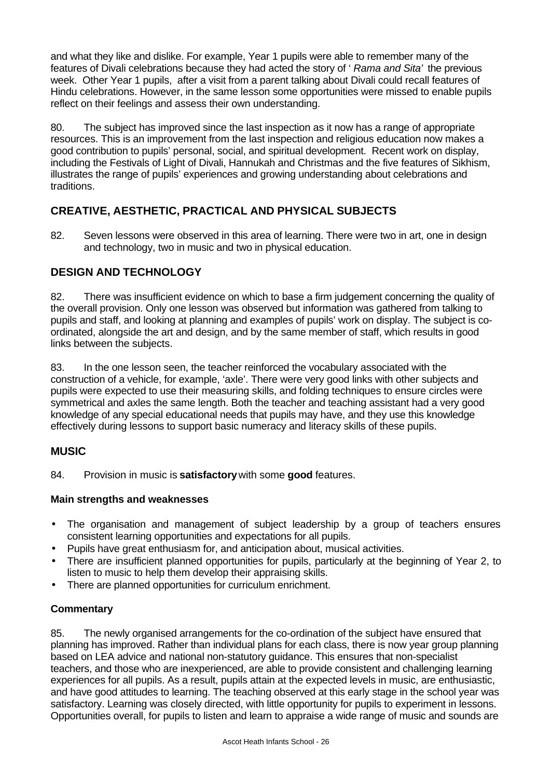and what they like and dislike. For example, Year 1 pupils were able to remember many of the features of Divali celebrations because they had acted the story of ' *Rama and Sita'* the previous week. Other Year 1 pupils, after a visit from a parent talking about Divali could recall features of Hindu celebrations. However, in the same lesson some opportunities were missed to enable pupils reflect on their feelings and assess their own understanding.

80. The subject has improved since the last inspection as it now has a range of appropriate resources. This is an improvement from the last inspection and religious education now makes a good contribution to pupils' personal, social, and spiritual development. Recent work on display, including the Festivals of Light of Divali, Hannukah and Christmas and the five features of Sikhism, illustrates the range of pupils' experiences and growing understanding about celebrations and traditions.

## **CREATIVE, AESTHETIC, PRACTICAL AND PHYSICAL SUBJECTS**

82. Seven lessons were observed in this area of learning. There were two in art, one in design and technology, two in music and two in physical education.

## **DESIGN AND TECHNOLOGY**

82. There was insufficient evidence on which to base a firm judgement concerning the quality of the overall provision. Only one lesson was observed but information was gathered from talking to pupils and staff, and looking at planning and examples of pupils' work on display. The subject is coordinated, alongside the art and design, and by the same member of staff, which results in good links between the subjects.

83. In the one lesson seen, the teacher reinforced the vocabulary associated with the construction of a vehicle, for example, 'axle'. There were very good links with other subjects and pupils were expected to use their measuring skills, and folding techniques to ensure circles were symmetrical and axles the same length. Both the teacher and teaching assistant had a very good knowledge of any special educational needs that pupils may have, and they use this knowledge effectively during lessons to support basic numeracy and literacy skills of these pupils.

## **MUSIC**

84. Provision in music is **satisfactory** with some **good** features.

## **Main strengths and weaknesses**

- The organisation and management of subject leadership by a group of teachers ensures consistent learning opportunities and expectations for all pupils.
- Pupils have great enthusiasm for, and anticipation about, musical activities.
- There are insufficient planned opportunities for pupils, particularly at the beginning of Year 2, to listen to music to help them develop their appraising skills.
- There are planned opportunities for curriculum enrichment.

## **Commentary**

85. The newly organised arrangements for the co-ordination of the subject have ensured that planning has improved. Rather than individual plans for each class, there is now year group planning based on LEA advice and national non-statutory guidance. This ensures that non-specialist teachers, and those who are inexperienced, are able to provide consistent and challenging learning experiences for all pupils. As a result, pupils attain at the expected levels in music, are enthusiastic, and have good attitudes to learning. The teaching observed at this early stage in the school year was satisfactory. Learning was closely directed, with little opportunity for pupils to experiment in lessons. Opportunities overall, for pupils to listen and learn to appraise a wide range of music and sounds are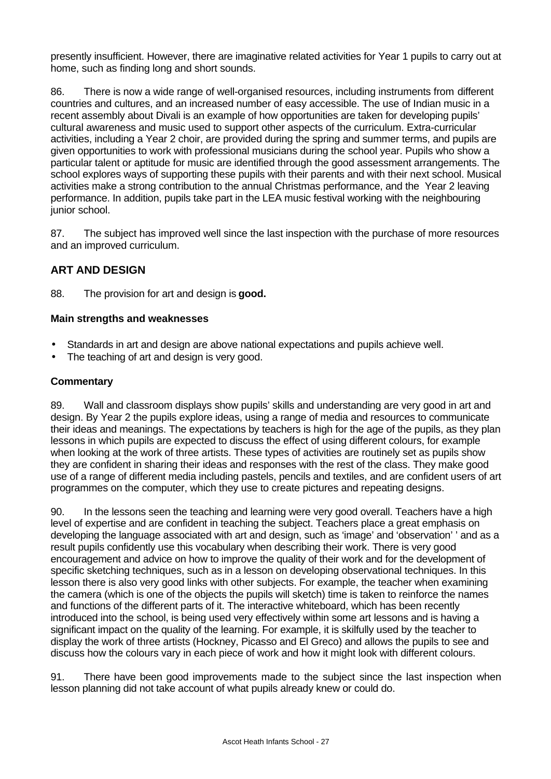presently insufficient. However, there are imaginative related activities for Year 1 pupils to carry out at home, such as finding long and short sounds.

86. There is now a wide range of well-organised resources, including instruments from different countries and cultures, and an increased number of easy accessible. The use of Indian music in a recent assembly about Divali is an example of how opportunities are taken for developing pupils' cultural awareness and music used to support other aspects of the curriculum. Extra-curricular activities, including a Year 2 choir, are provided during the spring and summer terms, and pupils are given opportunities to work with professional musicians during the school year. Pupils who show a particular talent or aptitude for music are identified through the good assessment arrangements. The school explores ways of supporting these pupils with their parents and with their next school. Musical activities make a strong contribution to the annual Christmas performance, and the Year 2 leaving performance. In addition, pupils take part in the LEA music festival working with the neighbouring junior school.

87. The subject has improved well since the last inspection with the purchase of more resources and an improved curriculum.

## **ART AND DESIGN**

88. The provision for art and design is **good.**

#### **Main strengths and weaknesses**

- Standards in art and design are above national expectations and pupils achieve well.
- The teaching of art and design is very good.

## **Commentary**

89. Wall and classroom displays show pupils' skills and understanding are very good in art and design. By Year 2 the pupils explore ideas, using a range of media and resources to communicate their ideas and meanings. The expectations by teachers is high for the age of the pupils, as they plan lessons in which pupils are expected to discuss the effect of using different colours, for example when looking at the work of three artists. These types of activities are routinely set as pupils show they are confident in sharing their ideas and responses with the rest of the class. They make good use of a range of different media including pastels, pencils and textiles, and are confident users of art programmes on the computer, which they use to create pictures and repeating designs.

90. In the lessons seen the teaching and learning were very good overall. Teachers have a high level of expertise and are confident in teaching the subject. Teachers place a great emphasis on developing the language associated with art and design, such as 'image' and 'observation' ' and as a result pupils confidently use this vocabulary when describing their work. There is very good encouragement and advice on how to improve the quality of their work and for the development of specific sketching techniques, such as in a lesson on developing observational techniques. In this lesson there is also very good links with other subjects. For example, the teacher when examining the camera (which is one of the objects the pupils will sketch) time is taken to reinforce the names and functions of the different parts of it. The interactive whiteboard, which has been recently introduced into the school, is being used very effectively within some art lessons and is having a significant impact on the quality of the learning. For example, it is skilfully used by the teacher to display the work of three artists (Hockney, Picasso and El Greco) and allows the pupils to see and discuss how the colours vary in each piece of work and how it might look with different colours.

91. There have been good improvements made to the subject since the last inspection when lesson planning did not take account of what pupils already knew or could do.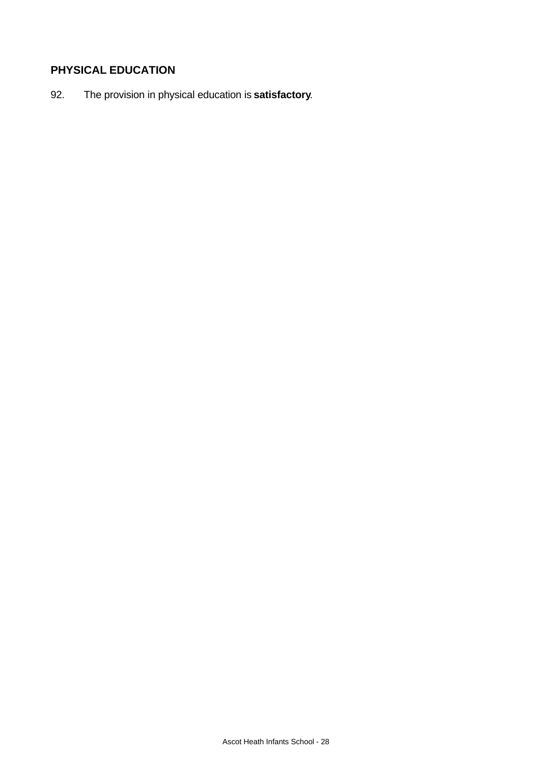# **PHYSICAL EDUCATION**

92. The provision in physical education is **satisfactory**.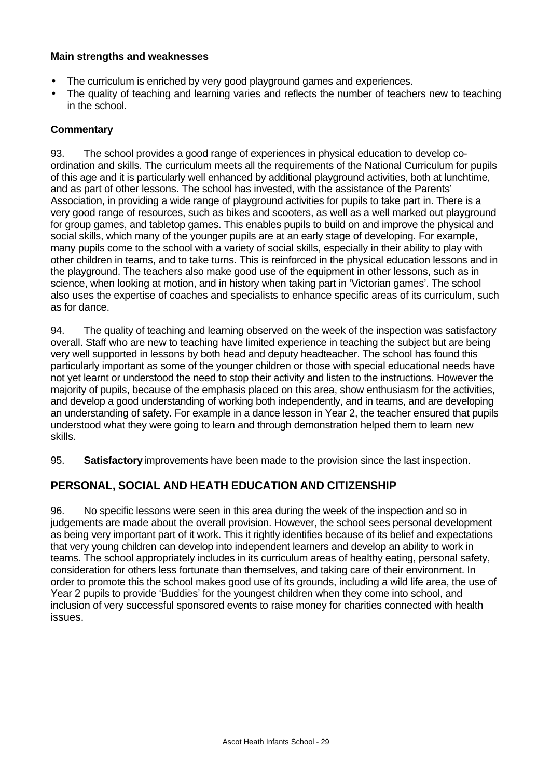#### **Main strengths and weaknesses**

- The curriculum is enriched by very good playground games and experiences.
- The quality of teaching and learning varies and reflects the number of teachers new to teaching in the school.

#### **Commentary**

93. The school provides a good range of experiences in physical education to develop coordination and skills. The curriculum meets all the requirements of the National Curriculum for pupils of this age and it is particularly well enhanced by additional playground activities, both at lunchtime, and as part of other lessons. The school has invested, with the assistance of the Parents' Association, in providing a wide range of playground activities for pupils to take part in. There is a very good range of resources, such as bikes and scooters, as well as a well marked out playground for group games, and tabletop games. This enables pupils to build on and improve the physical and social skills, which many of the younger pupils are at an early stage of developing. For example, many pupils come to the school with a variety of social skills, especially in their ability to play with other children in teams, and to take turns. This is reinforced in the physical education lessons and in the playground. The teachers also make good use of the equipment in other lessons, such as in science, when looking at motion, and in history when taking part in 'Victorian games'. The school also uses the expertise of coaches and specialists to enhance specific areas of its curriculum, such as for dance.

94. The quality of teaching and learning observed on the week of the inspection was satisfactory overall. Staff who are new to teaching have limited experience in teaching the subject but are being very well supported in lessons by both head and deputy headteacher. The school has found this particularly important as some of the younger children or those with special educational needs have not yet learnt or understood the need to stop their activity and listen to the instructions. However the majority of pupils, because of the emphasis placed on this area, show enthusiasm for the activities, and develop a good understanding of working both independently, and in teams, and are developing an understanding of safety. For example in a dance lesson in Year 2, the teacher ensured that pupils understood what they were going to learn and through demonstration helped them to learn new skills.

95. **Satisfactory** improvements have been made to the provision since the last inspection.

## **PERSONAL, SOCIAL AND HEATH EDUCATION AND CITIZENSHIP**

96. No specific lessons were seen in this area during the week of the inspection and so in judgements are made about the overall provision. However, the school sees personal development as being very important part of it work. This it rightly identifies because of its belief and expectations that very young children can develop into independent learners and develop an ability to work in teams. The school appropriately includes in its curriculum areas of healthy eating, personal safety, consideration for others less fortunate than themselves, and taking care of their environment. In order to promote this the school makes good use of its grounds, including a wild life area, the use of Year 2 pupils to provide 'Buddies' for the youngest children when they come into school, and inclusion of very successful sponsored events to raise money for charities connected with health issues.